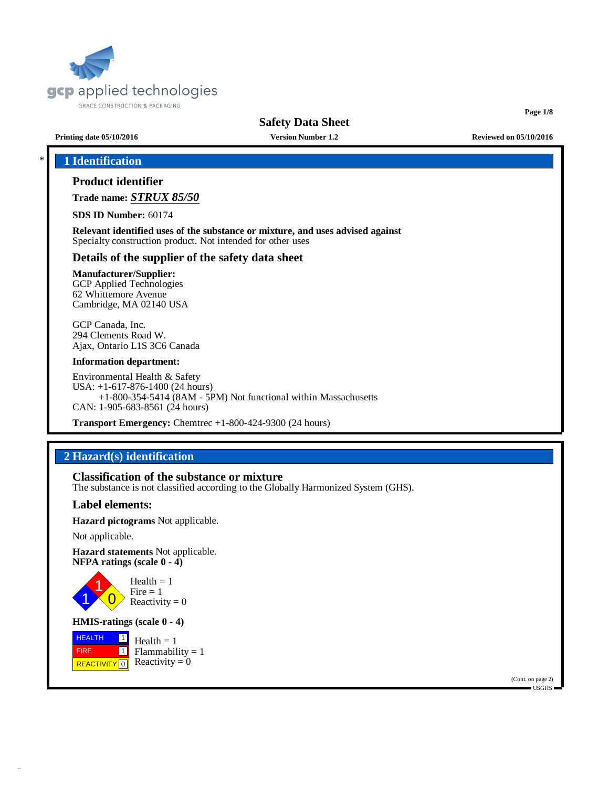

**Page 1/8**

**Printing date 05/10/2016 Version Number 1.2 Reviewed on 05/10/2016**

## \* **1 Identification**

## **Product identifier**

**Trade name:** *STRUX 85/50*

**SDS ID Number:** 60174

**Relevant identified uses of the substance or mixture, and uses advised against** Specialty construction product. Not intended for other uses

## **Details of the supplier of the safety data sheet**

## **Manufacturer/Supplier:**

GCP Applied Technologies 62 Whittemore Avenue Cambridge, MA 02140 USA

GCP Canada, Inc. 294 Clements Road W. Ajax, Ontario L1S 3C6 Canada

#### **Information department:**

Environmental Health & Safety USA: +1-617-876-1400 (24 hours) +1-800-354-5414 (8AM - 5PM) Not functional within Massachusetts CAN: 1-905-683-8561 (24 hours)

**Transport Emergency:** Chemtrec +1-800-424-9300 (24 hours)

## **2 Hazard(s) identification**

**Classification of the substance or mixture**

The substance is not classified according to the Globally Harmonized System (GHS).

## **Label elements:**

**Hazard pictograms** Not applicable.

Not applicable.

**Hazard statements** Not applicable. **NFPA ratings (scale 0 - 4)**



Health  $= 1$  $Fire = 1$ Reactivity  $= 0$ 

## **HMIS-ratings (scale 0 - 4)**

 HEALTH FIRE REACTIVITY  $\boxed{0}$  Reactivity = 0  $\boxed{1}$ 1  $Health = 1$  $Flammability = 1$ 

> (Cont. on page 2) USGHS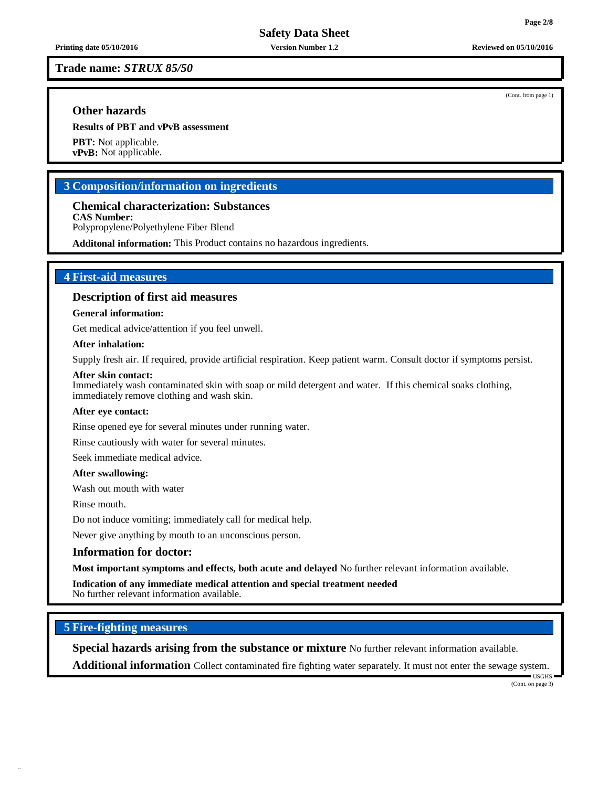**Trade name:** *STRUX 85/50*

## **Other hazards**

**Results of PBT and vPvB assessment**

**PBT:** Not applicable. **vPvB:** Not applicable.

## **3 Composition/information on ingredients**

**Chemical characterization: Substances CAS Number:**

Polypropylene/Polyethylene Fiber Blend

**Additonal information:** This Product contains no hazardous ingredients.

## **4 First-aid measures**

### **Description of first aid measures**

#### **General information:**

Get medical advice/attention if you feel unwell.

#### **After inhalation:**

Supply fresh air. If required, provide artificial respiration. Keep patient warm. Consult doctor if symptoms persist.

#### **After skin contact:**

Immediately wash contaminated skin with soap or mild detergent and water. If this chemical soaks clothing, immediately remove clothing and wash skin.

#### **After eye contact:**

Rinse opened eye for several minutes under running water.

Rinse cautiously with water for several minutes.

Seek immediate medical advice.

#### **After swallowing:**

Wash out mouth with water

Rinse mouth.

Do not induce vomiting; immediately call for medical help.

Never give anything by mouth to an unconscious person.

### **Information for doctor:**

**Most important symptoms and effects, both acute and delayed** No further relevant information available.

**Indication of any immediate medical attention and special treatment needed** No further relevant information available.

#### **5 Fire-fighting measures**

**Special hazards arising from the substance or mixture** No further relevant information available.

**Additional information** Collect contaminated fire fighting water separately. It must not enter the sewage system.

(Cont. on page 3)

 $\blacksquare$  USGHS

(Cont. from page 1)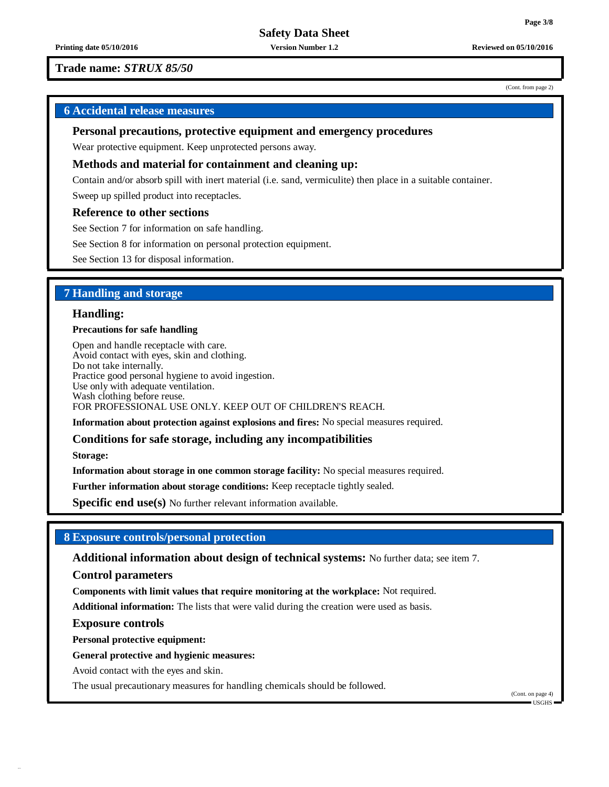**Printing date 05/10/2016 Version Number 1.2 Reviewed on 05/10/2016**

(Cont. from page 2)

## **Trade name:** *STRUX 85/50*

## **6 Accidental release measures**

#### **Personal precautions, protective equipment and emergency procedures**

Wear protective equipment. Keep unprotected persons away.

#### **Methods and material for containment and cleaning up:**

Contain and/or absorb spill with inert material (i.e. sand, vermiculite) then place in a suitable container.

Sweep up spilled product into receptacles.

### **Reference to other sections**

See Section 7 for information on safe handling.

See Section 8 for information on personal protection equipment.

See Section 13 for disposal information.

## **7 Handling and storage**

### **Handling:**

#### **Precautions for safe handling**

Open and handle receptacle with care. Avoid contact with eyes, skin and clothing. Do not take internally. Practice good personal hygiene to avoid ingestion. Use only with adequate ventilation. Wash clothing before reuse. FOR PROFESSIONAL USE ONLY. KEEP OUT OF CHILDREN'S REACH.

**Information about protection against explosions and fires:** No special measures required.

#### **Conditions for safe storage, including any incompatibilities**

**Storage:**

**Information about storage in one common storage facility:** No special measures required.

**Further information about storage conditions:** Keep receptacle tightly sealed.

**Specific end use(s)** No further relevant information available.

### **8 Exposure controls/personal protection**

**Additional information about design of technical systems:** No further data; see item 7.

**Control parameters**

**Components with limit values that require monitoring at the workplace:** Not required.

**Additional information:** The lists that were valid during the creation were used as basis.

#### **Exposure controls**

**Personal protective equipment:**

#### **General protective and hygienic measures:**

Avoid contact with the eyes and skin.

The usual precautionary measures for handling chemicals should be followed.

(Cont. on page 4) USGHS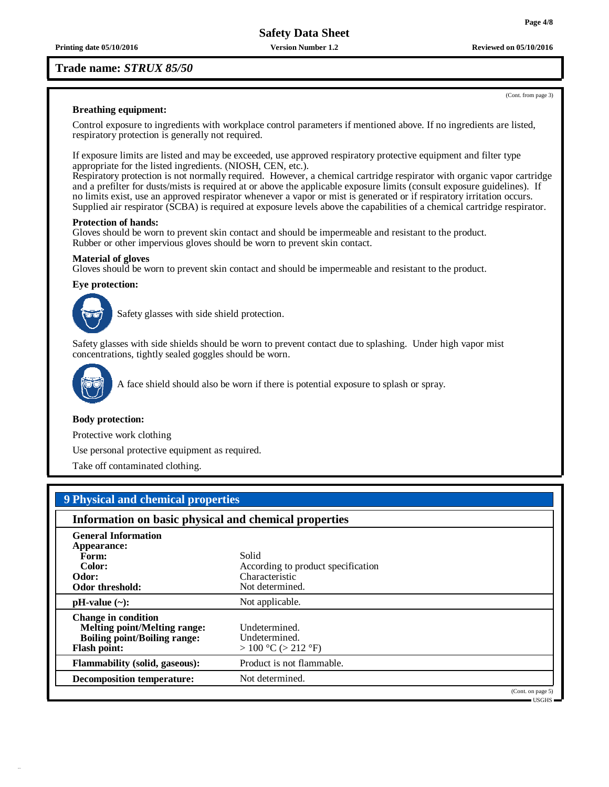**Printing date 05/10/2016 Version Number 1.2 Reviewed on 05/10/2016**

## **Trade name:** *STRUX 85/50*

#### **Breathing equipment:**

Control exposure to ingredients with workplace control parameters if mentioned above. If no ingredients are listed, respiratory protection is generally not required.

If exposure limits are listed and may be exceeded, use approved respiratory protective equipment and filter type appropriate for the listed ingredients. (NIOSH, CEN, etc.).

Respiratory protection is not normally required. However, a chemical cartridge respirator with organic vapor cartridge and a prefilter for dusts/mists is required at or above the applicable exposure limits (consult exposure guidelines). If no limits exist, use an approved respirator whenever a vapor or mist is generated or if respiratory irritation occurs. Supplied air respirator (SCBA) is required at exposure levels above the capabilities of a chemical cartridge respirator.

#### **Protection of hands:**

Gloves should be worn to prevent skin contact and should be impermeable and resistant to the product. Rubber or other impervious gloves should be worn to prevent skin contact.

#### **Material of gloves**

Gloves should be worn to prevent skin contact and should be impermeable and resistant to the product.

#### **Eye protection:**



Safety glasses with side shield protection.

Safety glasses with side shields should be worn to prevent contact due to splashing. Under high vapor mist concentrations, tightly sealed goggles should be worn.



A face shield should also be worn if there is potential exposure to splash or spray.

#### **Body protection:**

Protective work clothing

Use personal protective equipment as required.

Take off contaminated clothing.

## **9 Physical and chemical properties**

| Information on basic physical and chemical properties |                                    |  |
|-------------------------------------------------------|------------------------------------|--|
| <b>General Information</b>                            |                                    |  |
| Appearance:                                           |                                    |  |
| Form:                                                 | Solid                              |  |
| Color:                                                | According to product specification |  |
| Odor:                                                 | Characteristic                     |  |
| Odor threshold:                                       | Not determined.                    |  |
| $pH-value$ (~):                                       | Not applicable.                    |  |
| <b>Change in condition</b>                            |                                    |  |
| <b>Melting point/Melting range:</b>                   | Undetermined.                      |  |
| <b>Boiling point/Boiling range:</b>                   | Undetermined.                      |  |
| <b>Flash point:</b>                                   | $> 100 °C$ ( $> 212 °F$ )          |  |
| <b>Flammability (solid, gaseous):</b>                 | Product is not flammable.          |  |
| <b>Decomposition temperature:</b>                     | Not determined.                    |  |
|                                                       | (Cont. on page 5)                  |  |

(Cont. from page 3)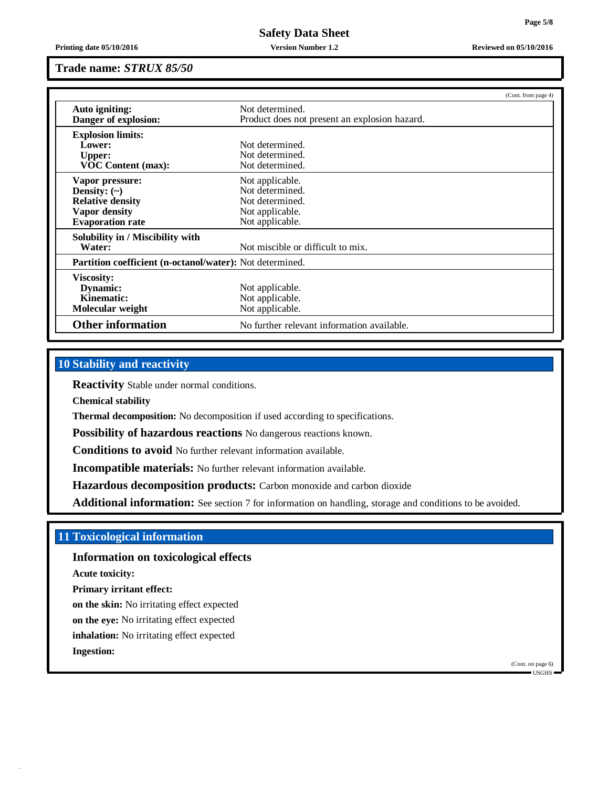**Printing date 05/10/2016 Version Number 1.2 Reviewed on 05/10/2016**

#### **Trade name:** *STRUX 85/50*

|                                                          | (Cont. from page 4)                           |
|----------------------------------------------------------|-----------------------------------------------|
| Auto igniting:                                           | Not determined.                               |
| Danger of explosion:                                     | Product does not present an explosion hazard. |
| <b>Explosion limits:</b>                                 |                                               |
| Lower:                                                   | Not determined.                               |
| <b>Upper:</b>                                            | Not determined.                               |
| <b>VOC Content (max):</b>                                | Not determined.                               |
| Vapor pressure:                                          | Not applicable.                               |
| Density: $(\sim)$                                        | Not determined.                               |
| <b>Relative density</b>                                  | Not determined.                               |
| <b>Vapor density</b>                                     | Not applicable.                               |
| <b>Evaporation rate</b>                                  | Not applicable.                               |
| Solubility in / Miscibility with                         |                                               |
| Water:                                                   | Not miscible or difficult to mix.             |
| Partition coefficient (n-octanol/water): Not determined. |                                               |
| <b>Viscosity:</b>                                        |                                               |
| Dynamic:                                                 | Not applicable.                               |
| <b>Kinematic:</b>                                        | Not applicable.                               |
| Molecular weight                                         | Not applicable.                               |
| <b>Other information</b>                                 | No further relevant information available.    |

## **10 Stability and reactivity**

**Reactivity** Stable under normal conditions.

**Chemical stability**

**Thermal decomposition:** No decomposition if used according to specifications.

**Possibility of hazardous reactions** No dangerous reactions known.

**Conditions to avoid** No further relevant information available.

**Incompatible materials:** No further relevant information available.

**Hazardous decomposition products:** Carbon monoxide and carbon dioxide

**Additional information:** See section 7 for information on handling, storage and conditions to be avoided.

## **11 Toxicological information**

## **Information on toxicological effects**

**Acute toxicity:**

**Primary irritant effect:**

**on the skin:** No irritating effect expected

**on the eye:** No irritating effect expected

**inhalation:** No irritating effect expected

**Ingestion:**

(Cont. on page 6)  $\blacksquare$  USGHS  $\blacksquare$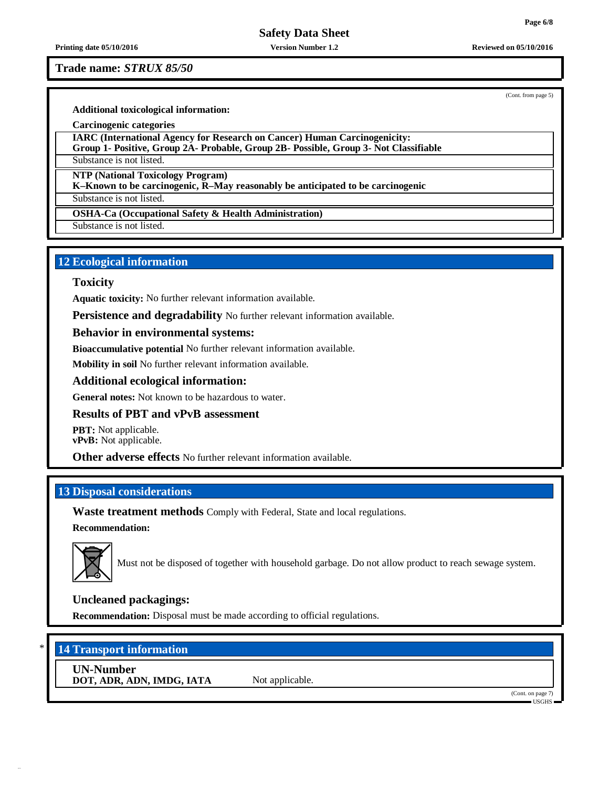**Printing date 05/10/2016 Version Number 1.2 Reviewed on 05/10/2016**

## **Trade name:** *STRUX 85/50*

(Cont. from page 5)

**Additional toxicological information:**

**Carcinogenic categories**

**IARC (International Agency for Research on Cancer) Human Carcinogenicity:**

**Group 1- Positive, Group 2A- Probable, Group 2B- Possible, Group 3- Not Classifiable**

Substance is not listed.

**NTP (National Toxicology Program)**

**K–Known to be carcinogenic, R–May reasonably be anticipated to be carcinogenic**

Substance is not listed.

**OSHA-Ca (Occupational Safety & Health Administration)**

Substance is not listed.

## **12 Ecological information**

## **Toxicity**

**Aquatic toxicity:** No further relevant information available.

**Persistence and degradability** No further relevant information available.

## **Behavior in environmental systems:**

**Bioaccumulative potential** No further relevant information available.

**Mobility in soil** No further relevant information available.

## **Additional ecological information:**

**General notes:** Not known to be hazardous to water.

## **Results of PBT and vPvB assessment**

**PBT:** Not applicable. **vPvB:** Not applicable.

**Other adverse effects** No further relevant information available.

## **13 Disposal considerations**

**Waste treatment methods** Comply with Federal, State and local regulations.

## **Recommendation:**



Must not be disposed of together with household garbage. Do not allow product to reach sewage system.

## **Uncleaned packagings:**

**Recommendation:** Disposal must be made according to official regulations.

## \* **14 Transport information**

**UN-Number DOT, ADR, ADN, IMDG, IATA** Not applicable.

(Cont. on page 7) USGHS

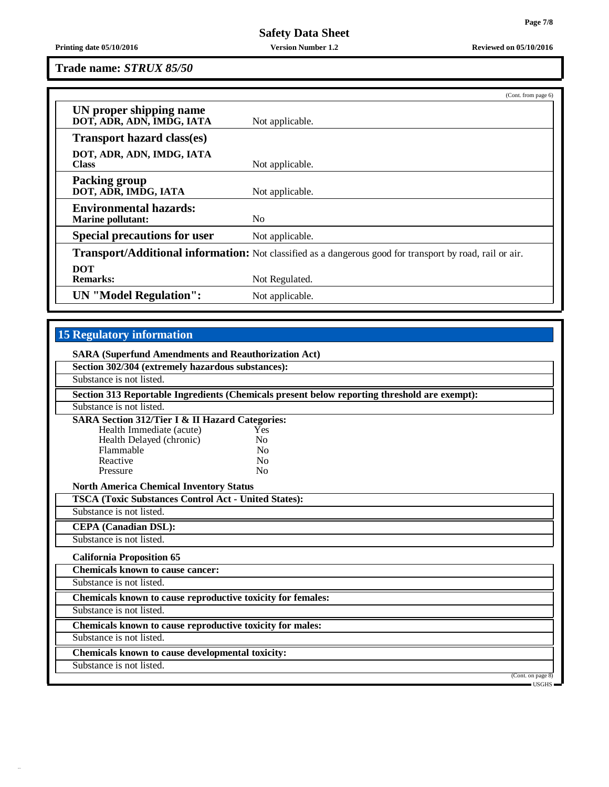**Printing date 05/10/2016 Version Number 1.2 Reviewed on 05/10/2016**

**Trade name:** *STRUX 85/50*

|                                                           | (Cont. from page 6)                                                                                             |
|-----------------------------------------------------------|-----------------------------------------------------------------------------------------------------------------|
| UN proper shipping name<br>DOT, ADR, ADN, IMDG, IATA      | Not applicable.                                                                                                 |
| <b>Transport hazard class(es)</b>                         |                                                                                                                 |
| DOT, ADR, ADN, IMDG, IATA<br><b>Class</b>                 | Not applicable.                                                                                                 |
| <b>Packing group</b><br>DOT, ADR, IMDG, IATA              | Not applicable.                                                                                                 |
| <b>Environmental hazards:</b><br><b>Marine pollutant:</b> | N <sub>0</sub>                                                                                                  |
| <b>Special precautions for user</b>                       | Not applicable.                                                                                                 |
|                                                           | <b>Transport/Additional information:</b> Not classified as a dangerous good for transport by road, rail or air. |
| <b>DOT</b><br><b>Remarks:</b>                             | Not Regulated.                                                                                                  |
| <b>UN</b> "Model Regulation":                             | Not applicable.                                                                                                 |

# **15 Regulatory information**

| Section 302/304 (extremely hazardous substances):           |                                                                                              |                   |
|-------------------------------------------------------------|----------------------------------------------------------------------------------------------|-------------------|
| Substance is not listed.                                    |                                                                                              |                   |
|                                                             | Section 313 Reportable Ingredients (Chemicals present below reporting threshold are exempt): |                   |
| Substance is not listed.                                    |                                                                                              |                   |
| <b>SARA Section 312/Tier I &amp; II Hazard Categories:</b>  |                                                                                              |                   |
| Health Immediate (acute)                                    | Yes                                                                                          |                   |
| Health Delayed (chronic)                                    | N <sub>0</sub>                                                                               |                   |
| Flammable                                                   | N <sub>0</sub>                                                                               |                   |
| Reactive                                                    | N <sub>0</sub>                                                                               |                   |
| Pressure                                                    | N <sub>0</sub>                                                                               |                   |
| <b>North America Chemical Inventory Status</b>              |                                                                                              |                   |
| <b>TSCA (Toxic Substances Control Act - United States):</b> |                                                                                              |                   |
| Substance is not listed.                                    |                                                                                              |                   |
| <b>CEPA</b> (Canadian DSL):                                 |                                                                                              |                   |
| Substance is not listed.                                    |                                                                                              |                   |
| <b>California Proposition 65</b>                            |                                                                                              |                   |
| <b>Chemicals known to cause cancer:</b>                     |                                                                                              |                   |
| Substance is not listed.                                    |                                                                                              |                   |
| Chemicals known to cause reproductive toxicity for females: |                                                                                              |                   |
| Substance is not listed.                                    |                                                                                              |                   |
| Chemicals known to cause reproductive toxicity for males:   |                                                                                              |                   |
| Substance is not listed.                                    |                                                                                              |                   |
| Chemicals known to cause developmental toxicity:            |                                                                                              |                   |
| Substance is not listed.                                    |                                                                                              |                   |
|                                                             |                                                                                              | (Cont. on page 8) |